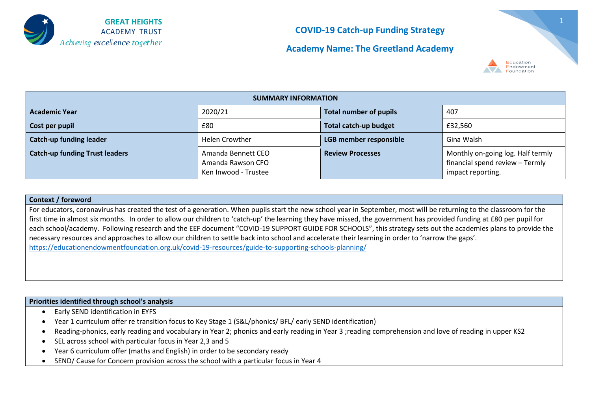

**Academy Name: The Greetland Academy**



| <b>SUMMARY INFORMATION</b>            |                                                                 |                               |                                                                                           |  |
|---------------------------------------|-----------------------------------------------------------------|-------------------------------|-------------------------------------------------------------------------------------------|--|
| <b>Academic Year</b>                  | 2020/21                                                         | <b>Total number of pupils</b> | 407                                                                                       |  |
| Cost per pupil                        | £80                                                             | <b>Total catch-up budget</b>  | £32,560                                                                                   |  |
| <b>Catch-up funding leader</b>        | <b>Helen Crowther</b>                                           | LGB member responsible        | Gina Walsh                                                                                |  |
| <b>Catch-up funding Trust leaders</b> | Amanda Bennett CEO<br>Amanda Rawson CFO<br>Ken Inwood - Trustee | <b>Review Processes</b>       | Monthly on-going log. Half termly<br>financial spend review - Termly<br>impact reporting. |  |

#### **Context / foreword**

For educators, coronavirus has created the test of a generation. When pupils start the new school year in September, most will be returning to the classroom for the first time in almost six months. In order to allow our children to 'catch-up' the learning they have missed, the government has provided funding at £80 per pupil for each school/academy. Following research and the EEF document "COVID-19 SUPPORT GUIDE FOR SCHOOLS", this strategy sets out the academies plans to provide the necessary resources and approaches to allow our children to settle back into school and accelerate their learning in order to 'narrow the gaps'. <https://educationendowmentfoundation.org.uk/covid-19-resources/guide-to-supporting-schools-planning/>

#### **Priorities identified through school's analysis**

- Early SEND identification in EYFS
- Year 1 curriculum offer re transition focus to Key Stage 1 (S&L/phonics/ BFL/ early SEND identification)
- Reading-phonics, early reading and vocabulary in Year 2; phonics and early reading in Year 3 ;reading comprehension and love of reading in upper KS2
- SEL across school with particular focus in Year 2,3 and 5
- Year 6 curriculum offer (maths and English) in order to be secondary ready
- SEND/ Cause for Concern provision across the school with a particular focus in Year 4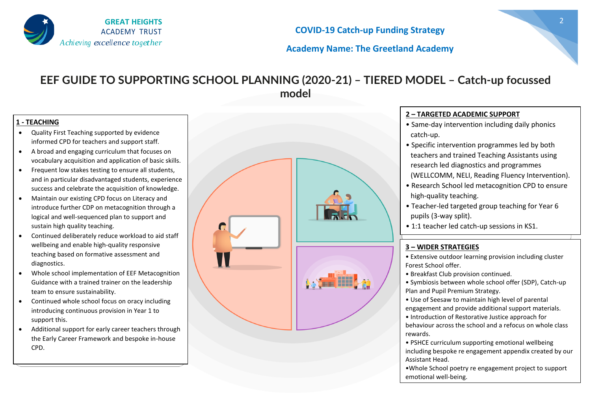

### **Academy Name: The Greetland Academy**

## **EEF GUIDE TO SUPPORTING SCHOOL PLANNING (2020-21) – TIERED MODEL – Catch-up focussed model**

#### **1 - TEACHING**

- Quality First Teaching supported by evidence informed CPD for teachers and support staff.
- A broad and engaging curriculum that focuses on vocabulary acquisition and application of basic skills.
- Frequent low stakes testing to ensure all students, and in particular disadvantaged students, experience success and celebrate the acquisition of knowledge.
- Maintain our existing CPD focus on Literacy and introduce further CDP on metacognition through a logical and well-sequenced plan to support and sustain high quality teaching.
- Continued deliberately reduce workload to aid staff wellbeing and enable high-quality responsive teaching based on formative assessment and diagnostics.
- Whole school implementation of EEF Metacognition Guidance with a trained trainer on the leadership team to ensure sustainability.
- Continued whole school focus on oracy including introducing continuous provision in Year 1 to support this.
- Additional support for early career teachers through the Early Career Framework and bespoke in-house CPD.



#### **2 – TARGETED ACADEMIC SUPPORT**

- Same-day intervention including daily phonics catch-up.
- Specific intervention programmes led by both teachers and trained Teaching Assistants using research led diagnostics and programmes (WELLCOMM, NELI, Reading Fluency Intervention).
- Research School led metacognition CPD to ensure high-quality teaching.
- Teacher-led targeted group teaching for Year 6 pupils (3-way split).
- 1:1 teacher led catch-up sessions in KS1.

#### **3 – WIDER STRATEGIES**

- Extensive outdoor learning provision including cluster Forest School offer.
- Breakfast Club provision continued.
- Symbiosis between whole school offer (SDP), Catch-up Plan and Pupil Premium Strategy.
- Use of Seesaw to maintain high level of parental engagement and provide additional support materials.
- Introduction of Restorative Justice approach for behaviour across the school and a refocus on whole class rewards.
- PSHCE curriculum supporting emotional wellbeing including bespoke re engagement appendix created by our Assistant Head.
- •Whole School poetry re engagement project to support emotional well-being.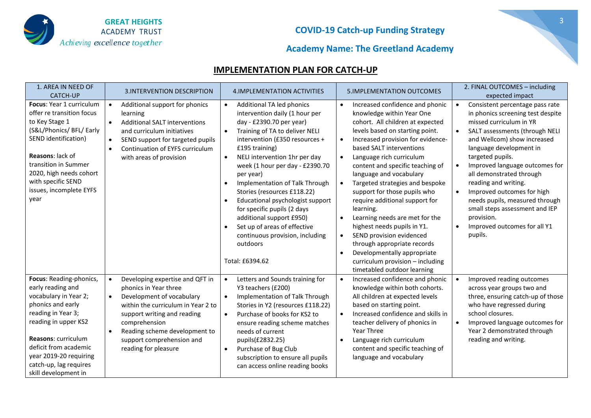

## **Academy Name: The Greetland Academy**

### **IMPLEMENTATION PLAN FOR CATCH-UP**

| 1. AREA IN NEED OF<br><b>CATCH-UP</b>                                                                                                                                                                                                                                       | <b>3.INTERVENTION DESCRIPTION</b>                                                                                                                                                                                                                                              | 4. IMPLEMENTATION ACTIVITIES                                                                                                                                                                                                                                                                                                                                                                                                                                                                                                                                                         | <b>5.IMPLEMENTATION OUTCOMES</b>                                                                                                                                                                                                                                                                                                                                                                                                                                                                                                                                                                                                                                                                    | 2. FINAL OUTCOMES - including<br>expected impact                                                                                                                                                                                                                                                                                                                                                                                                                                           |
|-----------------------------------------------------------------------------------------------------------------------------------------------------------------------------------------------------------------------------------------------------------------------------|--------------------------------------------------------------------------------------------------------------------------------------------------------------------------------------------------------------------------------------------------------------------------------|--------------------------------------------------------------------------------------------------------------------------------------------------------------------------------------------------------------------------------------------------------------------------------------------------------------------------------------------------------------------------------------------------------------------------------------------------------------------------------------------------------------------------------------------------------------------------------------|-----------------------------------------------------------------------------------------------------------------------------------------------------------------------------------------------------------------------------------------------------------------------------------------------------------------------------------------------------------------------------------------------------------------------------------------------------------------------------------------------------------------------------------------------------------------------------------------------------------------------------------------------------------------------------------------------------|--------------------------------------------------------------------------------------------------------------------------------------------------------------------------------------------------------------------------------------------------------------------------------------------------------------------------------------------------------------------------------------------------------------------------------------------------------------------------------------------|
| Focus: Year 1 curriculum<br>offer re transition focus<br>to Key Stage 1<br>(S&L/Phonics/ BFL/ Early<br>SEND identification)<br>Reasons: lack of<br>transition in Summer<br>2020, high needs cohort<br>with specific SEND<br>issues, incomplete EYFS<br>year                 | Additional support for phonics<br>learning<br><b>Additional SALT interventions</b><br>$\bullet$<br>and curriculum initiatives<br>SEND support for targeted pupils<br>$\bullet$<br>Continuation of EYFS curriculum<br>$\bullet$<br>with areas of provision                      | Additional TA led phonics<br>$\bullet$<br>intervention daily (1 hour per<br>day - £2390.70 per year)<br>Training of TA to deliver NELI<br>$\bullet$<br>intervention (£350 resources +<br>£195 training)<br>NELI intervention 1hr per day<br>week (1 hour per day - £2390.70<br>per year)<br>Implementation of Talk Through<br>$\bullet$<br>Stories (resources £118.22)<br>Educational psychologist support<br>for specific pupils (2 days<br>additional support £950)<br>Set up of areas of effective<br>$\bullet$<br>continuous provision, including<br>outdoors<br>Total: £6394.62 | Increased confidence and phonic<br>knowledge within Year One<br>cohort. All children at expected<br>levels based on starting point.<br>Increased provision for evidence-<br>$\bullet$<br>based SALT interventions<br>Language rich curriculum<br>content and specific teaching of<br>language and vocabulary<br>Targeted strategies and bespoke<br>support for those pupils who<br>require additional support for<br>learning.<br>Learning needs are met for the<br>$\bullet$<br>highest needs pupils in Y1.<br>SEND provision evidenced<br>$\bullet$<br>through appropriate records<br>Developmentally appropriate<br>$\bullet$<br>curriculum provision - including<br>timetabled outdoor learning | Consistent percentage pass rate<br>$\bullet$<br>in phonics screening test despite<br>missed curriculum in YR<br>SALT assessments (through NELI<br>and Wellcom) show increased<br>language development in<br>targeted pupils.<br>Improved language outcomes for<br>all demonstrated through<br>reading and writing.<br>Improved outcomes for high<br>needs pupils, measured through<br>small steps assessment and IEP<br>provision.<br>Improved outcomes for all Y1<br>$\bullet$<br>pupils. |
| Focus: Reading-phonics,<br>early reading and<br>vocabulary in Year 2;<br>phonics and early<br>reading in Year 3;<br>reading in upper KS2<br><b>Reasons: curriculum</b><br>deficit from academic<br>year 2019-20 requiring<br>catch-up, lag requires<br>skill development in | Developing expertise and QFT in<br>phonics in Year three<br>Development of vocabulary<br>$\bullet$<br>within the curriculum in Year 2 to<br>support writing and reading<br>comprehension<br>Reading scheme development to<br>support comprehension and<br>reading for pleasure | Letters and Sounds training for<br>$\bullet$<br>Y3 teachers (£200)<br>Implementation of Talk Through<br>$\bullet$<br>Stories in Y2 (resources £118.22)<br>Purchase of books for KS2 to<br>$\bullet$<br>ensure reading scheme matches<br>needs of current<br>pupils(£2832.25)<br>Purchase of Bug Club<br>$\bullet$<br>subscription to ensure all pupils<br>can access online reading books                                                                                                                                                                                            | Increased confidence and phonic<br>knowledge within both cohorts.<br>All children at expected levels<br>based on starting point.<br>Increased confidence and skills in<br>teacher delivery of phonics in<br>Year Three<br>Language rich curriculum<br>$\bullet$<br>content and specific teaching of<br>language and vocabulary                                                                                                                                                                                                                                                                                                                                                                      | Improved reading outcomes<br>$\bullet$<br>across year groups two and<br>three, ensuring catch-up of those<br>who have regressed during<br>school closures.<br>Improved language outcomes for<br>Year 2 demonstrated through<br>reading and writing.                                                                                                                                                                                                                                        |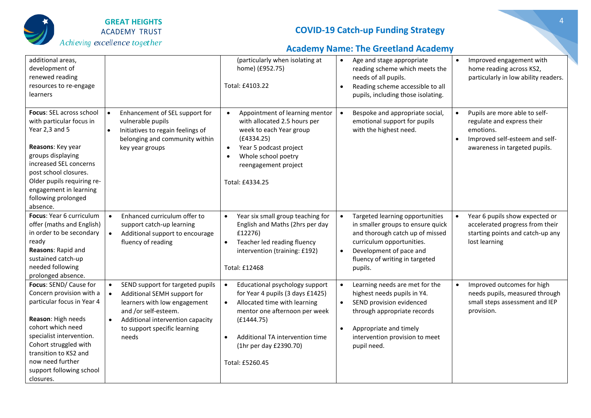

# **Academy Name: The Greetland Academy**

| additional areas,<br>development of<br>renewed reading<br>resources to re-engage<br>learners                                                                                                                                                                           |                                                                                                                                                                                                      | (particularly when isolating at<br>home) (£952.75)<br>Total: £4103.22                                                                                                                                                                                                    | Age and stage appropriate<br>$\bullet$<br>reading scheme which meets the<br>needs of all pupils.<br>Reading scheme accessible to all<br>$\bullet$<br>pupils, including those isolating.                                       | Improved engagement with<br>$\bullet$<br>home reading across KS2,<br>particularly in low ability readers.                                                |
|------------------------------------------------------------------------------------------------------------------------------------------------------------------------------------------------------------------------------------------------------------------------|------------------------------------------------------------------------------------------------------------------------------------------------------------------------------------------------------|--------------------------------------------------------------------------------------------------------------------------------------------------------------------------------------------------------------------------------------------------------------------------|-------------------------------------------------------------------------------------------------------------------------------------------------------------------------------------------------------------------------------|----------------------------------------------------------------------------------------------------------------------------------------------------------|
| Focus: SEL across school<br>with particular focus in<br>Year 2,3 and 5<br>Reasons: Key year<br>groups displaying<br>increased SEL concerns<br>post school closures.<br>Older pupils requiring re-<br>engagement in learning<br>following prolonged<br>absence.         | Enhancement of SEL support for<br>vulnerable pupils<br>Initiatives to regain feelings of<br>$\bullet$<br>belonging and community within<br>key year groups                                           | Appointment of learning mentor<br>$\bullet$<br>with allocated 2.5 hours per<br>week to each Year group<br>(E4334.25)<br>Year 5 podcast project<br>$\bullet$<br>Whole school poetry<br>reengagement project<br>Total: £4334.25                                            | Bespoke and appropriate social,<br>$\bullet$<br>emotional support for pupils<br>with the highest need.                                                                                                                        | Pupils are more able to self-<br>$\bullet$<br>regulate and express their<br>emotions.<br>Improved self-esteem and self-<br>awareness in targeted pupils. |
| Focus: Year 6 curriculum<br>offer (maths and English)<br>in order to be secondary<br>ready<br>Reasons: Rapid and<br>sustained catch-up<br>needed following<br>prolonged absence.                                                                                       | Enhanced curriculum offer to<br>support catch-up learning<br>Additional support to encourage<br>$\bullet$<br>fluency of reading                                                                      | Year six small group teaching for<br>$\bullet$<br>English and Maths (2hrs per day<br>£12276)<br>Teacher led reading fluency<br>$\bullet$<br>intervention (training: £192)<br>Total: £12468                                                                               | Targeted learning opportunities<br>in smaller groups to ensure quick<br>and thorough catch up of missed<br>curriculum opportunities.<br>Development of pace and<br>$\bullet$<br>fluency of writing in targeted<br>pupils.     | Year 6 pupils show expected or<br>accelerated progress from their<br>starting points and catch-up any<br>lost learning                                   |
| Focus: SEND/ Cause for<br>Concern provision with a<br>particular focus in Year 4<br>Reason: High needs<br>cohort which need<br>specialist intervention.<br>Cohort struggled with<br>transition to KS2 and<br>now need further<br>support following school<br>closures. | SEND support for targeted pupils<br>Additional SEMH support for<br>learners with low engagement<br>and /or self-esteem.<br>Additional intervention capacity<br>to support specific learning<br>needs | Educational psychology support<br>$\bullet$<br>for Year 4 pupils (3 days £1425)<br>Allocated time with learning<br>$\bullet$<br>mentor one afternoon per week<br>(E1444.75)<br>Additional TA intervention time<br>$\bullet$<br>(1hr per day £2390.70)<br>Total: £5260.45 | Learning needs are met for the<br>highest needs pupils in Y4.<br>SEND provision evidenced<br>$\bullet$<br>through appropriate records<br>Appropriate and timely<br>$\bullet$<br>intervention provision to meet<br>pupil need. | Improved outcomes for high<br>$\bullet$<br>needs pupils, measured through<br>small steps assessment and IEP<br>provision.                                |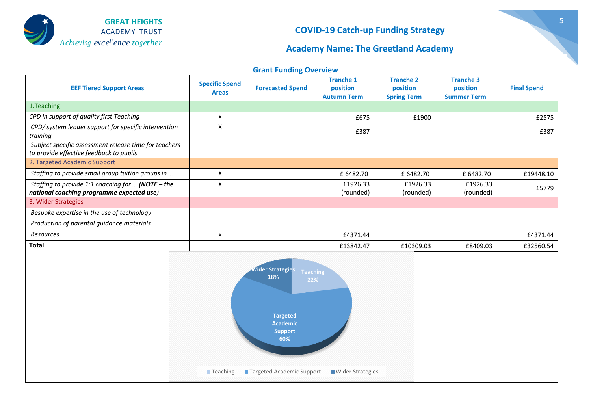

## **Academy Name: The Greetland Academy**

| <b>Grant Funding Overview</b> |  |
|-------------------------------|--|
|-------------------------------|--|

| <b>EEF Tiered Support Areas</b>                                                                  | <b>Specific Spend</b><br><b>Areas</b> | <b>Forecasted Spend</b> | <b>Tranche 1</b><br>position<br><b>Autumn Term</b> | <b>Tranche 2</b><br>position<br><b>Spring Term</b> | <b>Tranche 3</b><br>position<br><b>Summer Term</b> | <b>Final Spend</b> |
|--------------------------------------------------------------------------------------------------|---------------------------------------|-------------------------|----------------------------------------------------|----------------------------------------------------|----------------------------------------------------|--------------------|
| 1. Teaching                                                                                      |                                       |                         |                                                    |                                                    |                                                    |                    |
| CPD in support of quality first Teaching                                                         | x                                     |                         | £675                                               | £1900                                              |                                                    | £2575              |
| CPD/ system leader support for specific intervention<br>training                                 | X                                     |                         | £387                                               |                                                    |                                                    | £387               |
| Subject specific assessment release time for teachers<br>to provide effective feedback to pupils |                                       |                         |                                                    |                                                    |                                                    |                    |
| 2. Targeted Academic Support                                                                     |                                       |                         |                                                    |                                                    |                                                    |                    |
| Staffing to provide small group tuition groups in                                                | x                                     |                         | £ 6482.70                                          | £ 6482.70                                          | £ 6482.70                                          | £19448.10          |
| Staffing to provide 1:1 coaching for  (NOTE - the<br>national coaching programme expected use)   | X                                     |                         | £1926.33<br>(rounded)                              | £1926.33<br>(rounded)                              | £1926.33<br>(rounded)                              | £5779              |
| 3. Wider Strategies                                                                              |                                       |                         |                                                    |                                                    |                                                    |                    |
| Bespoke expertise in the use of technology                                                       |                                       |                         |                                                    |                                                    |                                                    |                    |
| Production of parental guidance materials                                                        |                                       |                         |                                                    |                                                    |                                                    |                    |
| Resources                                                                                        | x                                     |                         | £4371.44                                           |                                                    |                                                    | £4371.44           |
| <b>Total</b>                                                                                     |                                       |                         | £13842.47                                          | £10309.03                                          | £8409.03                                           | £32560.54          |